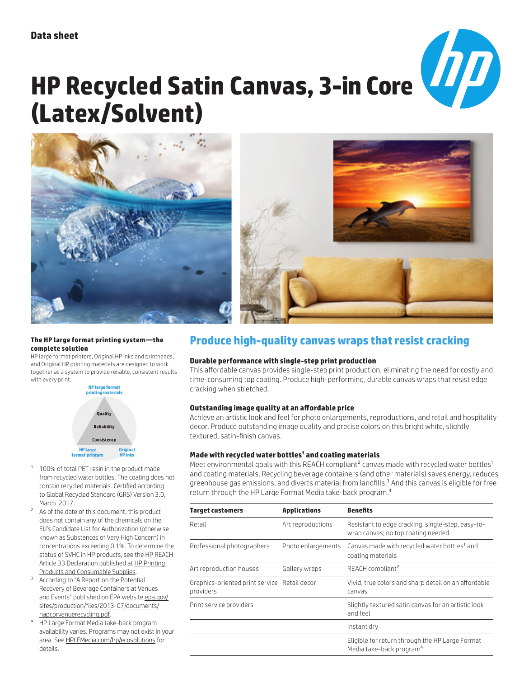

# **HP Recycled Satin Canvas, 3-in Core (Latex/Solvent)**





#### **The HP large format printing system—the complete solution**

HP large format printers, Original HP inks and printheads, and Original HP printing materials are designed to work together as a system to provide reliable, consistent results with every print.



- 1 100% of total PET resin in the product made from recycled water bottles. The coating does not contain recycled materials. Certified according to Global Recycled Standard (GRS) Version 3.0, March 2017.
- As of the date of this document, this product does not contain any of the chemicals on the EU's Candidate List for Authorization (otherwise known as Substances of Very High Concern) in concentrations exceeding 0.1%. To determine the status of SVHC in HP products, see the HP REACH Article 33 Declaration published at HP Printing Products and Consumable Supplies.
- <sup>3</sup> According to "A Report on the Potential Recovery of Beverage Containers at Venues and Events" published on EPA website epa.gov/ sites/production/files/2013-07/documents/ napcorvenuerecycling.pdf.
- 4 HP Large Format Media take-back program availability varies. Programs may not exist in your area. See HPLFMedia.com/hp/ecosolutions for details.

# **Produce high-quality canvas wraps that resist cracking**

#### **Durable performance with single-step print production**

This affordable canvas provides single-step print production, eliminating the need for costly and time-consuming top coating. Produce high-performing, durable canvas wraps that resist edge cracking when stretched.

## **Outstanding image quality at an affordable price**

Achieve an artistic look and feel for photo enlargements, reproductions, and retail and hospitality decor. Produce outstanding image quality and precise colors on this bright white, slightly textured, satin-finish canvas.

## **Made with recycled water bottles1 and coating materials**

Meet environmental goals with this REACH compliant<sup>2</sup> canvas made with recycled water bottles<sup>1</sup> and coating materials. Recycling beverage containers (and other materials) saves energy, reduces greenhouse gas emissions, and diverts material from landfills.<sup>3</sup> And this canvas is eligible for free return through the HP Large Format Media take-back program.4

| <b>Target customers</b>                                   | <b>Applications</b> | <b>Benefits</b>                                                                         |  |
|-----------------------------------------------------------|---------------------|-----------------------------------------------------------------------------------------|--|
| Retail                                                    | Art reproductions   | Resistant to edge cracking, single-step, easy-to-<br>wrap canvas; no top coating needed |  |
| Professional photographers                                | Photo enlargements  | Canvas made with recycled water bottles <sup>1</sup> and<br>coating materials           |  |
| Art reproduction houses                                   | Gallery wraps       | REACH compliant <sup>2</sup>                                                            |  |
| Graphics-oriented print service Retail decor<br>providers |                     | Vivid, true colors and sharp detail on an affordable<br>canvas                          |  |
| Print service providers                                   |                     | Slightly textured satin canvas for an artistic look<br>and feel                         |  |
|                                                           |                     | Instant dry                                                                             |  |
|                                                           |                     | Eligible for return through the HP Large Format<br>Media take-back program <sup>4</sup> |  |
|                                                           |                     |                                                                                         |  |